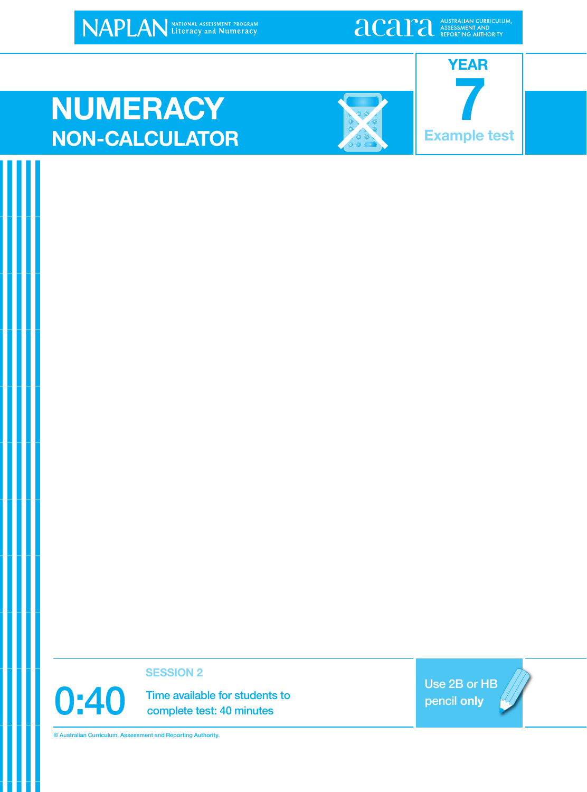NAPLAN NATIONAL ASSESSMENT PROGRAM

**alcariation** ASSESSMENT AND ASSESSMENT AND

### **NUMERACY NON-CALCULATOR Example test**



**7 YEAR**

**SESSION 2**

0:40 Time available for students to<br>complete test: 40 minutes complete test: 40 minutes

Use 2B or HB pencil **only**

© Australian Curriculum, Assessment and Reporting Authority.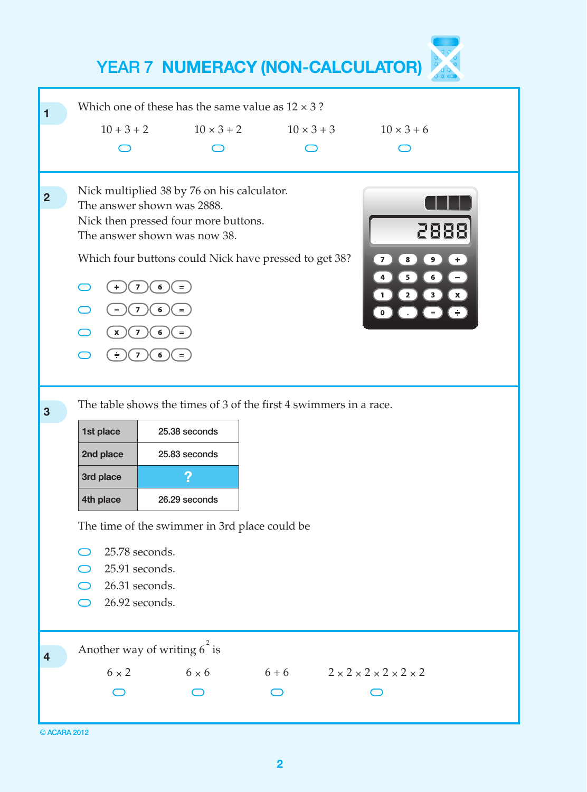

| © ACARA 2012 |  |  |
|--------------|--|--|
|              |  |  |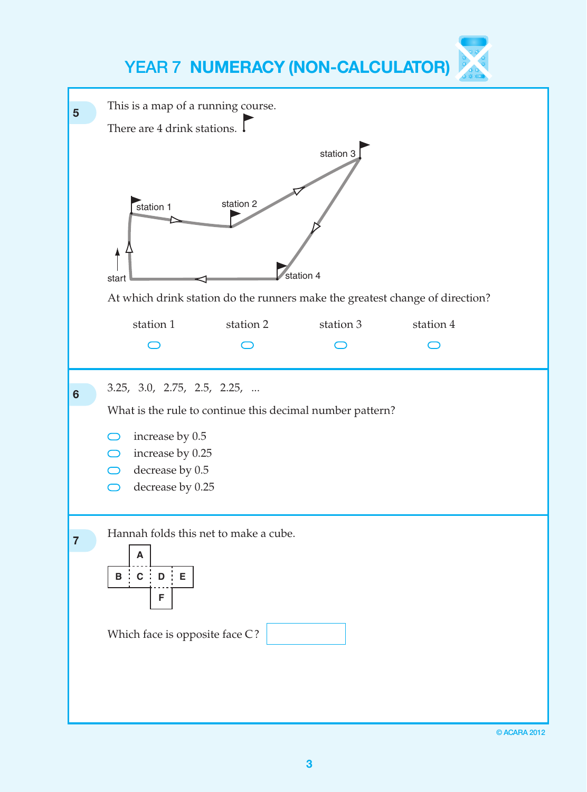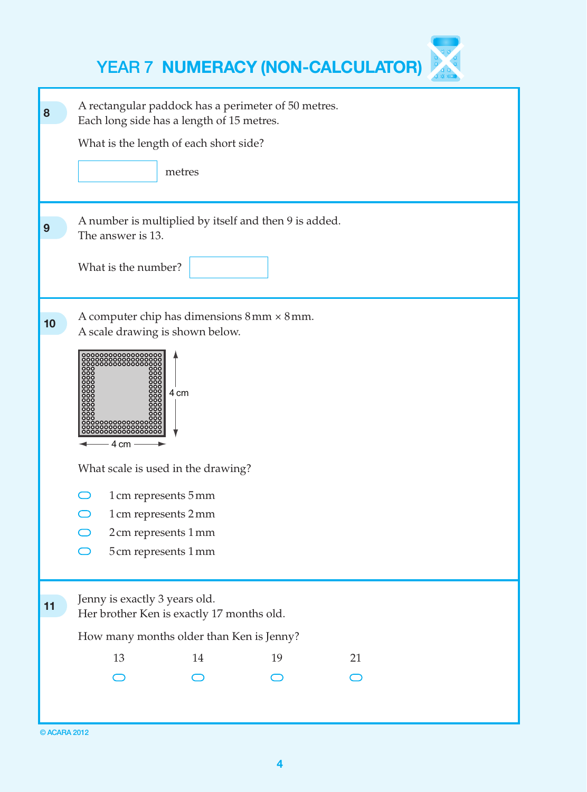|    | <b>YEAR 7 NUMERACY (NON-CALCULATOR)</b>                                                                                                                                                                                                                                                                                         |
|----|---------------------------------------------------------------------------------------------------------------------------------------------------------------------------------------------------------------------------------------------------------------------------------------------------------------------------------|
| 8  | A rectangular paddock has a perimeter of 50 metres.<br>Each long side has a length of 15 metres.<br>What is the length of each short side?<br>metres                                                                                                                                                                            |
| 9  | A number is multiplied by itself and then 9 is added.<br>The answer is 13.<br>What is the number?                                                                                                                                                                                                                               |
| 10 | A computer chip has dimensions $8 \text{ mm} \times 8 \text{ mm}$ .<br>A scale drawing is shown below.<br>00000000000<br>0000000000<br>0000000000<br>4 cm<br>4 cm<br>What scale is used in the drawing?<br>1 cm represents 5 mm<br>$\bigcirc$<br>1 cm represents 2 mm<br>2cm represents 1mm<br>$\bigcirc$<br>5cm represents 1mm |
| 11 | Jenny is exactly 3 years old.<br>Her brother Ken is exactly 17 months old.<br>How many months older than Ken is Jenny?<br>13<br>14<br>19<br>21                                                                                                                                                                                  |
|    |                                                                                                                                                                                                                                                                                                                                 |

<sup>©</sup> ACARA 2012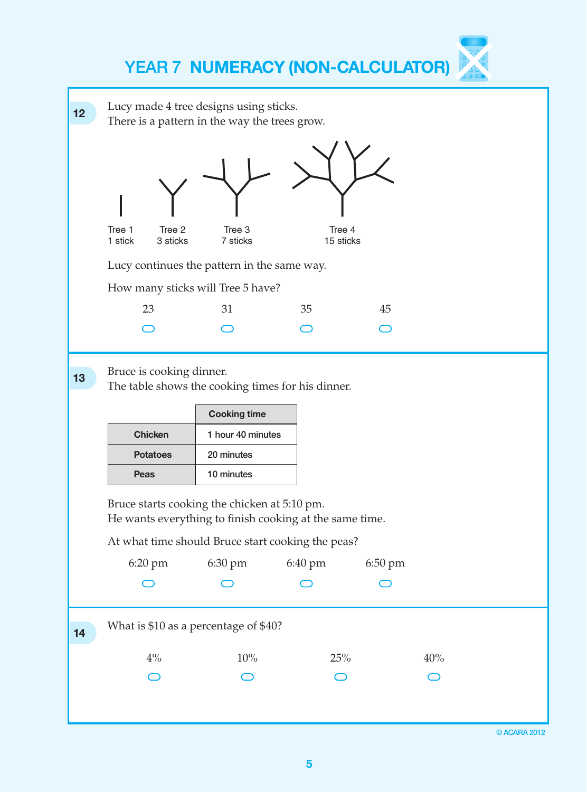| 12 | Lucy made 4 tree designs using sticks.<br>There is a pattern in the way the trees grow.                                                                      |                          |                     |         |     |  |
|----|--------------------------------------------------------------------------------------------------------------------------------------------------------------|--------------------------|---------------------|---------|-----|--|
|    | Tree 1<br>Tree 2<br>1 stick<br>3 sticks                                                                                                                      | Tree 3<br>7 sticks       | Tree 4<br>15 sticks |         |     |  |
|    | Lucy continues the pattern in the same way.                                                                                                                  |                          |                     |         |     |  |
|    | How many sticks will Tree 5 have?                                                                                                                            |                          |                     |         |     |  |
|    | 23                                                                                                                                                           | 31                       | 35                  | 45      |     |  |
|    |                                                                                                                                                              |                          |                     |         |     |  |
| 13 | Bruce is cooking dinner.<br>The table shows the cooking times for his dinner.                                                                                |                          |                     |         |     |  |
|    |                                                                                                                                                              |                          |                     |         |     |  |
|    |                                                                                                                                                              | <b>Cooking time</b>      |                     |         |     |  |
|    | <b>Chicken</b>                                                                                                                                               | 1 hour 40 minutes        |                     |         |     |  |
|    | <b>Potatoes</b><br>Peas                                                                                                                                      | 20 minutes<br>10 minutes |                     |         |     |  |
|    | Bruce starts cooking the chicken at 5:10 pm.<br>He wants everything to finish cooking at the same time.<br>At what time should Bruce start cooking the peas? |                          |                     |         |     |  |
|    | 6:20 pm                                                                                                                                                      | 6:30 pm                  | 6:40 pm             | 6:50 pm |     |  |
|    |                                                                                                                                                              |                          |                     |         |     |  |
| 14 | What is \$10 as a percentage of \$40?                                                                                                                        |                          |                     |         |     |  |
|    | $4\%$                                                                                                                                                        | 10%                      | 25%                 |         | 40% |  |
|    |                                                                                                                                                              |                          |                     |         |     |  |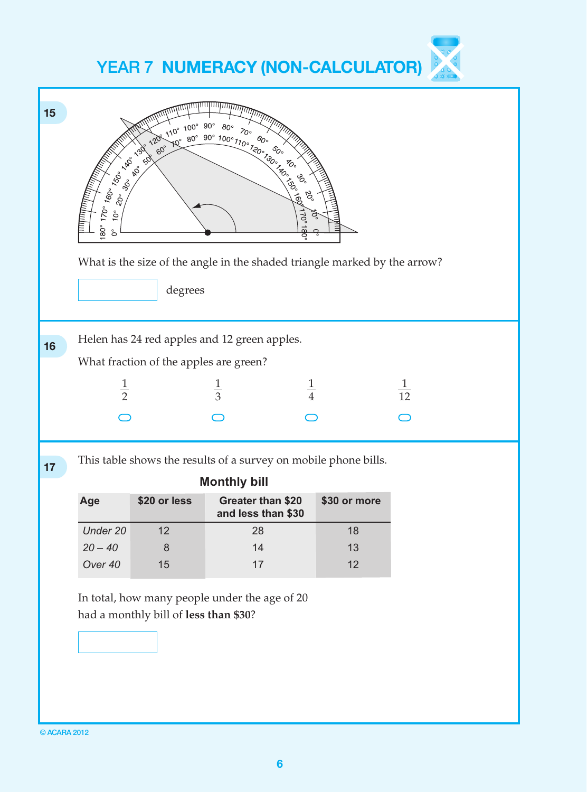

© ACARA 2012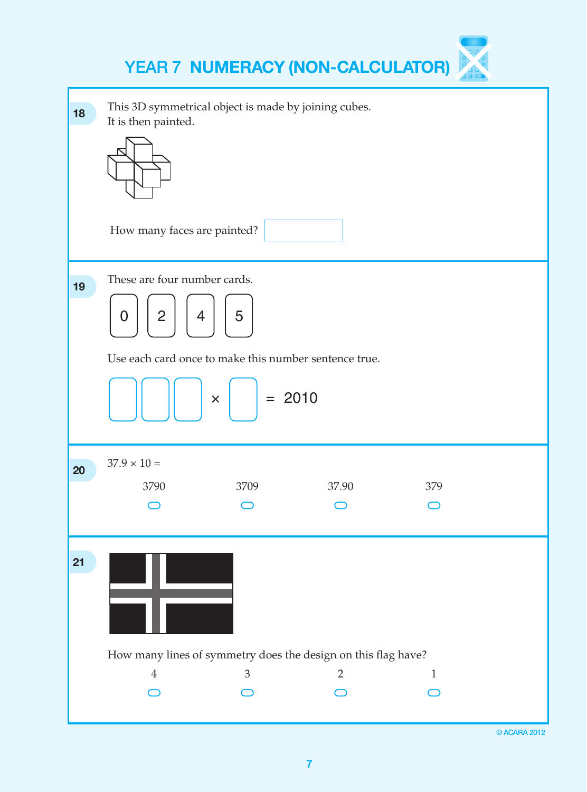| 18 | This 3D symmetrical object is made by joining cubes.<br>It is then painted.                                                                                |
|----|------------------------------------------------------------------------------------------------------------------------------------------------------------|
|    | How many faces are painted?                                                                                                                                |
| 19 | These are four number cards.<br>5<br>$\overline{2}$<br>4<br>0<br>Use each card once to make this number sentence true.<br>$= 2010$<br>$\mathsf{X}^{\perp}$ |
| 20 | $37.9 \times 10 =$<br>3709<br>37.90<br>379<br>3790                                                                                                         |
| 21 | How many lines of symmetry does the design on this flag have?<br>3<br>$\overline{2}$<br>$\boldsymbol{4}$<br>$\mathbf{1}$                                   |
|    |                                                                                                                                                            |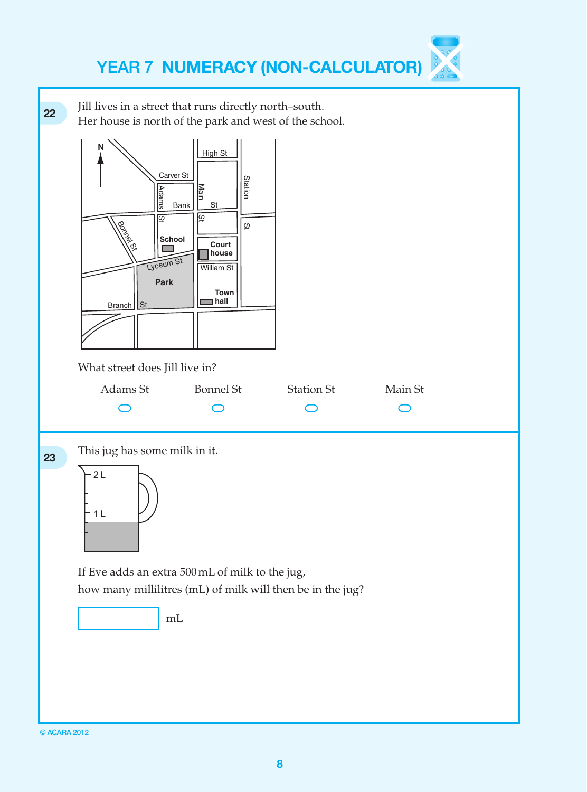**22** Jill lives in a street that runs directly north–south. Her house is north of the park and west of the school. **N** High St Carver St<br> **B**<br> **B**<br> **B**<br> **B**<br> **B**<br> **B**<br> **B Station** <u>Main</u> Main IISt Adams IISt Bank  $\begin{bmatrix} 5t \end{bmatrix}$ ဖြ छि  $\overline{\omega}$ Bonnel St **School Court house** Lyceum St William St **Park Town hall** St Branch What street does Jill live in? Adams St Bonnel St Station St Main St  $\bigcap$  $\bigcap$  $\bigcap$  $\bigcap$ **23** This jug has some milk in it.  $2 L$  $1<sup>L</sup>$ If Eve adds an extra 500 mL of milk to the jug, how many millilitres (mL) of milk will then be in the jug? mL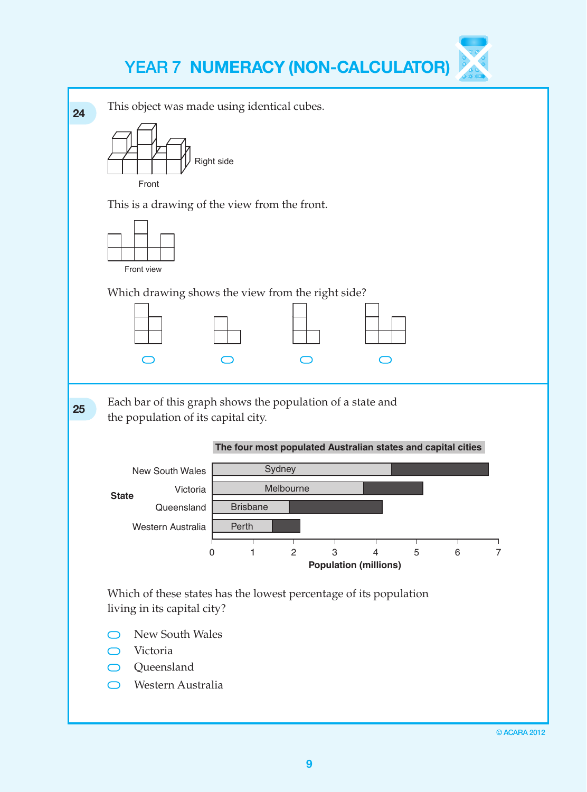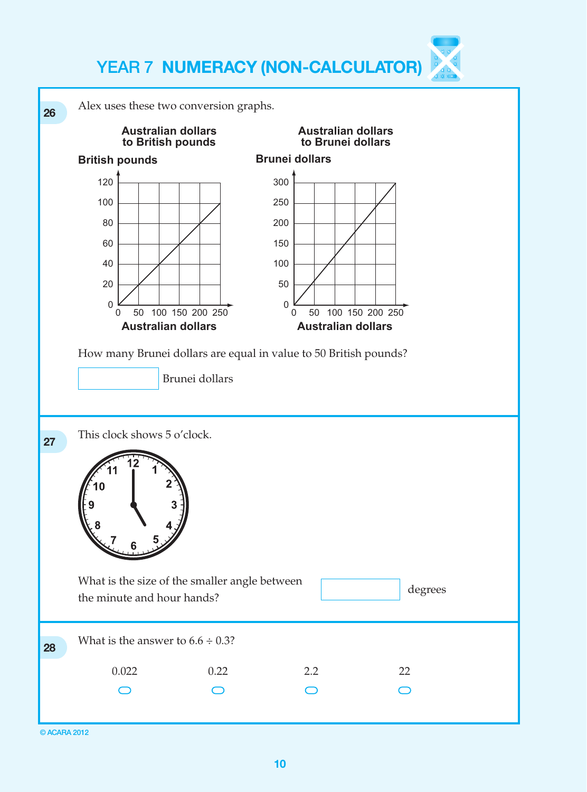

© ACARA 2012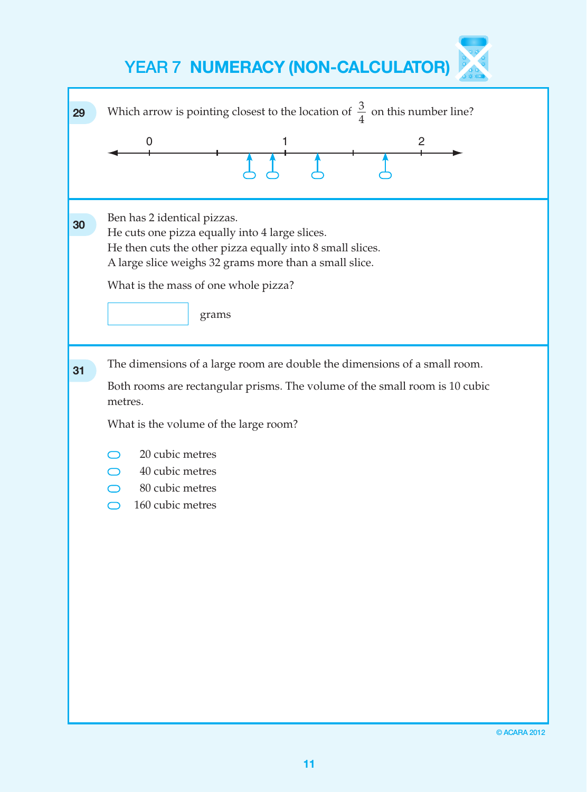| 29 | Which arrow is pointing closest to the location of $\frac{3}{4}$ on this number line?<br>0<br>2                                                                                                                                                                                           |
|----|-------------------------------------------------------------------------------------------------------------------------------------------------------------------------------------------------------------------------------------------------------------------------------------------|
| 30 | Ben has 2 identical pizzas.<br>He cuts one pizza equally into 4 large slices.<br>He then cuts the other pizza equally into 8 small slices.<br>A large slice weighs 32 grams more than a small slice.<br>What is the mass of one whole pizza?<br>grams                                     |
| 31 | The dimensions of a large room are double the dimensions of a small room.<br>Both rooms are rectangular prisms. The volume of the small room is 10 cubic<br>metres.<br>What is the volume of the large room?<br>20 cubic metres<br>40 cubic metres<br>80 cubic metres<br>160 cubic metres |